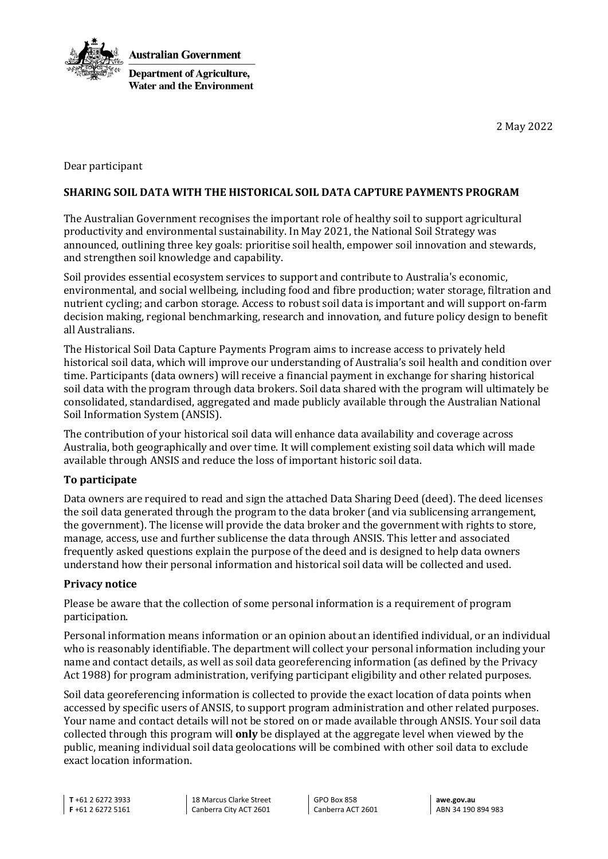

2 May 2022

Dear participant

### **SHARING SOIL DATA WITH THE HISTORICAL SOIL DATA CAPTURE PAYMENTS PROGRAM**

The Australian Government recognises the important role of healthy soil to support agricultural productivity and environmental sustainability. In May 2021, the National Soil Strategy was announced, outlining three key goals: prioritise soil health, empower soil innovation and stewards, and strengthen soil knowledge and capability.

Soil provides essential ecosystem services to support and contribute to Australia's economic, environmental, and social wellbeing, including food and fibre production; water storage, filtration and nutrient cycling; and carbon storage. Access to robust soil data is important and will support on-farm decision making, regional benchmarking, research and innovation, and future policy design to benefit all Australians.

The Historical Soil Data Capture Payments Program aims to increase access to privately held historical soil data, which will improve our understanding of Australia's soil health and condition over time. Participants (data owners) will receive a financial payment in exchange for sharing historical soil data with the program through data brokers. Soil data shared with the program will ultimately be consolidated, standardised, aggregated and made publicly available through the Australian National Soil Information System (ANSIS).

The contribution of your historical soil data will enhance data availability and coverage across Australia, both geographically and over time. It will complement existing soil data which will made available through ANSIS and reduce the loss of important historic soil data.

### **To participate**

Data owners are required to read and sign the attached Data Sharing Deed (deed). The deed licenses the soil data generated through the program to the data broker (and via sublicensing arrangement, the government). The license will provide the data broker and the government with rights to store, manage, access, use and further sublicense the data through ANSIS. This letter and associated frequently asked questions explain the purpose of the deed and is designed to help data owners understand how their personal information and historical soil data will be collected and used.

### **Privacy notice**

Please be aware that the collection of some personal information is a requirement of program participation.

Personal information means information or an opinion about an identified individual, or an individual who is reasonably identifiable. The department will collect your personal information including your name and contact details, as well as soil data georeferencing information (as defined by the Privacy Act 1988) for program administration, verifying participant eligibility and other related purposes.

Soil data georeferencing information is collected to provide the exact location of data points when accessed by specific users of ANSIS, to support program administration and other related purposes. Your name and contact details will not be stored on or made available through ANSIS. Your soil data collected through this program will **only** be displayed at the aggregate level when viewed by the public, meaning individual soil data geolocations will be combined with other soil data to exclude exact location information.

**T** +61 2 6272 3933 **F** +61 2 6272 5161

18 Marcus Clarke Street Canberra City ACT 2601

GPO Box 858 Canberra ACT 2601

**awe.gov.au** ABN 34 190 894 983